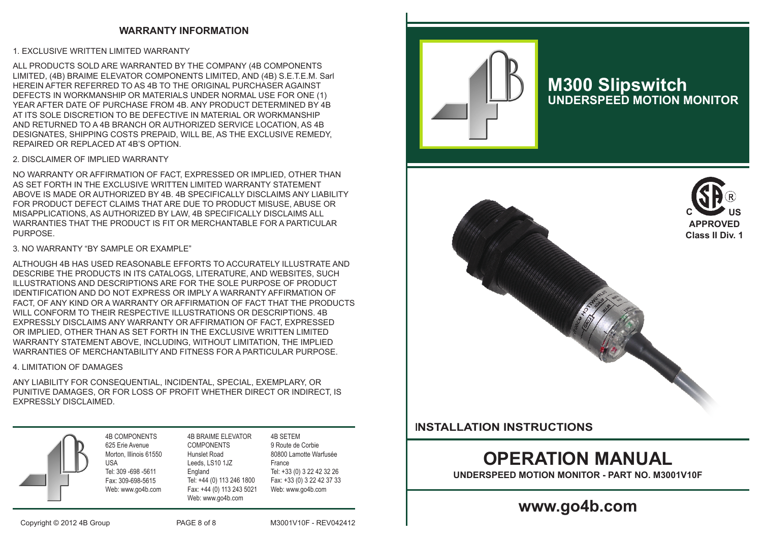## **WARRANTY INFORMATION**

#### 1. EXCLUSIVE WRITTEN LIMITED WARRANTY

ALL PRODUCTS SOLD ARE WARRANTED BY THE COMPANY (4B COMPONENTS LIMITED, (4B) BRAIME ELEVATOR COMPONENTS LIMITED, AND (4B) S.E.T.E.M. Sarl HEREIN AFTER REFERRED TO AS 4B TO THE ORIGINAL PURCHASER AGAINST DEFECTS IN WORKMANSHIP OR MATERIALS UNDER NORMAL USE FOR ONE (1) YEAR AFTER DATE OF PURCHASE FROM 4B. ANY PRODUCT DETERMINED BY 4B AT ITS SOLE DISCRETION TO BE DEFECTIVE IN MATERIAL OR WORKMANSHIP AND RETURNED TO A 4B BRANCH OR AUTHORIZED SERVICE LOCATION, AS 4B DESIGNATES, SHIPPING COSTS PREPAID, WILL BE, AS THE EXCLUSIVE REMEDY, REPAIRED OR REPLACED AT 4B'S OPTION.

#### 2. DISCLAIMER OF IMPLIED WARRANTY

NO WARRANTY OR AFFIRMATION OF FACT, EXPRESSED OR IMPLIED, OTHER THAN AS SET FORTH IN THE EXCLUSIVE WRITTEN LIMITED WARRANTY STATEMENT ABOVE IS MADE OR AUTHORIZED BY 4B. 4B SPECIFICALLY DISCLAIMS ANY LIABILITY FOR PRODUCT DEFECT CLAIMS THAT ARE DUE TO PRODUCT MISUSE, ABUSE OR MISAPPLICATIONS, AS AUTHORIZED BY LAW, 4B SPECIFICALLY DISCLAIMS ALL WARRANTIES THAT THE PRODUCT IS FIT OR MERCHANTABLE FOR A PARTICULAR **PURPOSE** 

#### 3. NO WARRANTY "BY SAMPLE OR EXAMPLE"

ALTHOUGH 4B HAS USED REASONABLE EFFORTS TO ACCURATELY ILLUSTRATE AND DESCRIBE THE PRODUCTS IN ITS CATALOGS, LITERATURE, AND WEBSITES, SUCH ILLUSTRATIONS AND DESCRIPTIONS ARE FOR THE SOLE PURPOSE OF PRODUCT IDENTIFICATION AND DO NOT EXPRESS OR IMPLY A WARRANTY AFFIRMATION OF FACT, OF ANY KIND OR A WARRANTY OR AFFIRMATION OF FACT THAT THE PRODUCTS WILL CONFORM TO THEIR RESPECTIVE ILLUSTRATIONS OR DESCRIPTIONS. 4B EXPRESSLY DISCLAIMS ANY WARRANTY OR AFFIRMATION OF FACT, EXPRESSED OR IMPLIED, OTHER THAN AS SET FORTH IN THE EXCLUSIVE WRITTEN LIMITED WARRANTY STATEMENT ABOVE, INCLUDING, WITHOUT LIMITATION, THE IMPLIED WARRANTIES OF MERCHANTABILITY AND FITNESS FOR A PARTICULAR PURPOSE.

#### 4. LIMITATION OF DAMAGES

ANY LIABILITY FOR CONSEQUENTIAL, INCIDENTAL, SPECIAL, EXEMPLARY, OR PUNITIVE DAMAGES, OR FOR LOSS OF PROFIT WHETHER DIRECT OR INDIRECT, IS EXPRESSLY DISCLAIMED.



4B COMPONENTS Morton, Illinois 61550 Tel: 309 -698 -5611 Fax: 309-698-5615 Web: www.go4b.com 4B BRAIME ELEVATOR **COMPONENTS** Hunslet Road Leeds, LS10 1JZ England

Tel: +44 (0) 113 246 1800 Fax: +44 (0) 113 243 5021 Web: www.go4b.com 4B SETEM France

9 Route de Corbie 80800 Lamotte Warfusée Tel: +33 (0) 3 22 42 32 26 Fax: +33 (0) 3 22 42 37 33 Web: www.go4b.com



## **M300 Slipswitch UNDERSPEED MOTION MONITOR**



## I**NSTALLATION INSTRUCTIONS**

# **OPERATION MANUAL**

**UNDERSPEED MOTION MONITOR - PART NO. M3001V10F**

## **www.go4b.com**

Copyright © 2012 4B Group PAGE 8 of 8 M3001V10F - REV042412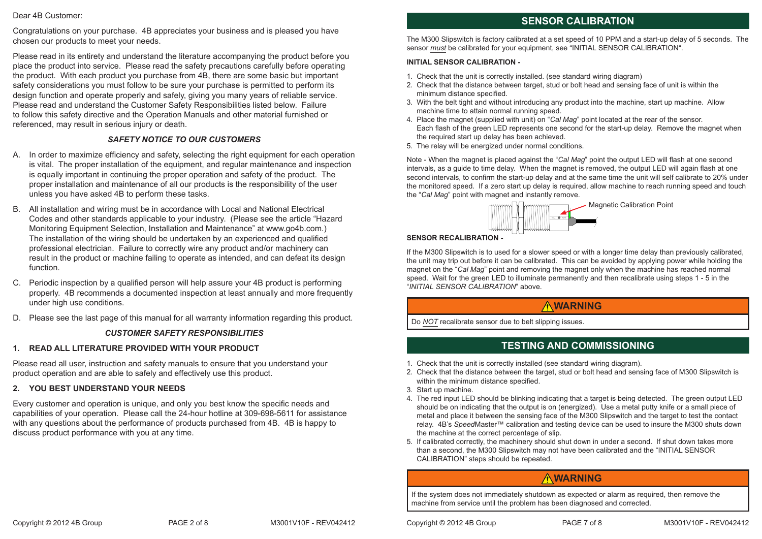#### Dear 4B Customer:

Congratulations on your purchase. 4B appreciates your business and is pleased you have chosen our products to meet your needs.

Please read in its entirety and understand the literature accompanying the product before you place the product into service. Please read the safety precautions carefully before operating the product. With each product you purchase from 4B, there are some basic but important safety considerations you must follow to be sure your purchase is permitted to perform its design function and operate properly and safely, giving you many years of reliable service. Please read and understand the Customer Safety Responsibilities listed below. Failure to follow this safety directive and the Operation Manuals and other material furnished or referenced, may result in serious injury or death.

### *SAFETY NOTICE TO OUR CUSTOMERS*

- A. In order to maximize efficiency and safety, selecting the right equipment for each operation is vital. The proper installation of the equipment, and regular maintenance and inspection is equally important in continuing the proper operation and safety of the product. The proper installation and maintenance of all our products is the responsibility of the user unless you have asked 4B to perform these tasks.
- B. All installation and wiring must be in accordance with Local and National Electrical Codes and other standards applicable to your industry. (Please see the article "Hazard Monitoring Equipment Selection, Installation and Maintenance" at www.go4b.com.) The installation of the wiring should be undertaken by an experienced and qualified professional electrician. Failure to correctly wire any product and/or machinery can result in the product or machine failing to operate as intended, and can defeat its design function.
- C. Periodic inspection by a qualified person will help assure your 4B product is performing properly. 4B recommends a documented inspection at least annually and more frequently under high use conditions.
- D. Please see the last page of this manual for all warranty information regarding this product.

#### *CUSTOMER SAFETY RESPONSIBILITIES*

#### **1. READ ALL LITERATURE PROVIDED WITH YOUR PRODUCT**

Please read all user, instruction and safety manuals to ensure that you understand your product operation and are able to safely and effectively use this product.

#### **2. YOU BEST UNDERSTAND YOUR NEEDS**

Every customer and operation is unique, and only you best know the specific needs and capabilities of your operation. Please call the 24-hour hotline at 309-698-5611 for assistance with any questions about the performance of products purchased from 4B. 4B is happy to discuss product performance with you at any time.

## **SENSOR CALIBRATION**

The M300 Slipswitch is factory calibrated at a set speed of 10 PPM and a start-up delay of 5 seconds. The sensor *must* be calibrated for your equipment, see "INITIAL SENSOR CALIBRATION".

#### **INITIAL SENSOR CALIBRATION -**

- 1. Check that the unit is correctly installed. (see standard wiring diagram)
- 2. Check that the distance between target, stud or bolt head and sensing face of unit is within the minimum distance specified.
- 3. With the belt tight and without introducing any product into the machine, start up machine. Allow machine time to attain normal running speed.
- 4. Place the magnet (supplied with unit) on "*Cal Mag*" point located at the rear of the sensor. Each flash of the green LED represents one second for the start-up delay. Remove the magnet when the required start up delay has been achieved.
- 5. The relay will be energized under normal conditions.

Note - When the magnet is placed against the "*Cal Mag*" point the output LED will flash at one second intervals, as a guide to time delay. When the magnet is removed, the output LED will again flash at one second intervals, to confirm the start-up delay and at the same time the unit will self calibrate to 20% under the monitored speed. If a zero start up delay is required, allow machine to reach running speed and touch the "*Cal Mag*" point with magnet and instantly remove.



#### **SENSOR RECALIBRATION -**

If the M300 Slipswitch is to used for a slower speed or with a longer time delay than previously calibrated, the unit may trip out before it can be calibrated. This can be avoided by applying power while holding the magnet on the "*Cal Mag*" point and removing the magnet only when the machine has reached normal speed. Wait for the green LED to illuminate permanently and then recalibrate using steps 1 - 5 in the "*INITIAL SENSOR CALIBRATION*" above.

## **WARNING**

Do *NOT* recalibrate sensor due to belt slipping issues.

## **TESTING AND COMMISSIONING**

- 1. Check that the unit is correctly installed (see standard wiring diagram).
- 2. Check that the distance between the target, stud or bolt head and sensing face of M300 Slipswitch is within the minimum distance specified.
- 3. Start up machine.
- 4. The red input LED should be blinking indicating that a target is being detected. The green output LED should be on indicating that the output is on (energized). Use a metal putty knife or a small piece of metal and place it between the sensing face of the M300 Slipswitch and the target to test the contact relay. 4B's *Speed*Master™ calibration and testing device can be used to insure the M300 shuts down the machine at the correct percentage of slip.
- 5. If calibrated correctly, the machinery should shut down in under a second. If shut down takes more than a second, the M300 Slipswitch may not have been calibrated and the "INITIAL SENSOR CALIBRATION" steps should be repeated.

## **WARNING**

If the system does not immediately shutdown as expected or alarm as required, then remove the machine from service until the problem has been diagnosed and corrected.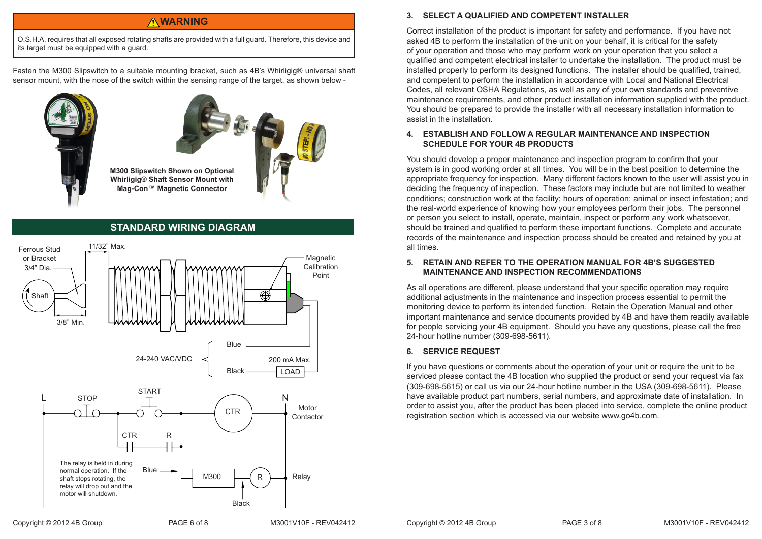## **WARNING**

O.S.H.A. requires that all exposed rotating shafts are provided with a full guard. Therefore, this device and its target must be equipped with a guard.

Fasten the M300 Slipswitch to a suitable mounting bracket, such as 4B's Whirligig® universal shaft sensor mount, with the nose of the switch within the sensing range of the target, as shown below -





**M300 Slipswitch Shown on Optional Whirligig® Shaft Sensor Mount with Mag-Con™ Magnetic Connector**

## **STANDARD WIRING DIAGRAM**



### **3. SELECT A QUALIFIED AND COMPETENT INSTALLER**

Correct installation of the product is important for safety and performance. If you have not asked 4B to perform the installation of the unit on your behalf, it is critical for the safety of your operation and those who may perform work on your operation that you select a qualified and competent electrical installer to undertake the installation. The product must be installed properly to perform its designed functions. The installer should be qualified, trained, and competent to perform the installation in accordance with Local and National Electrical Codes, all relevant OSHA Regulations, as well as any of your own standards and preventive maintenance requirements, and other product installation information supplied with the product. You should be prepared to provide the installer with all necessary installation information to assist in the installation.

### **4. ESTABLISH AND FOLLOW A REGULAR MAINTENANCE AND INSPECTION SCHEDULE FOR YOUR 4B PRODUCTS**

You should develop a proper maintenance and inspection program to confirm that your system is in good working order at all times. You will be in the best position to determine the appropriate frequency for inspection. Many different factors known to the user will assist you in deciding the frequency of inspection. These factors may include but are not limited to weather conditions; construction work at the facility; hours of operation; animal or insect infestation; and the real-world experience of knowing how your employees perform their jobs. The personnel or person you select to install, operate, maintain, inspect or perform any work whatsoever, should be trained and qualified to perform these important functions. Complete and accurate records of the maintenance and inspection process should be created and retained by you at all times.

#### **5. RETAIN AND REFER TO THE OPERATION MANUAL FOR 4B'S SUGGESTED MAINTENANCE AND INSPECTION RECOMMENDATIONS**

As all operations are different, please understand that your specific operation may require additional adjustments in the maintenance and inspection process essential to permit the monitoring device to perform its intended function. Retain the Operation Manual and other important maintenance and service documents provided by 4B and have them readily available for people servicing your 4B equipment. Should you have any questions, please call the free 24-hour hotline number (309-698-5611).

### **6. SERVICE REQUEST**

If you have questions or comments about the operation of your unit or require the unit to be serviced please contact the 4B location who supplied the product or send your request via fax (309-698-5615) or call us via our 24-hour hotline number in the USA (309-698-5611). Please have available product part numbers, serial numbers, and approximate date of installation. In order to assist you, after the product has been placed into service, complete the online product registration section which is accessed via our website www.go4b.com.